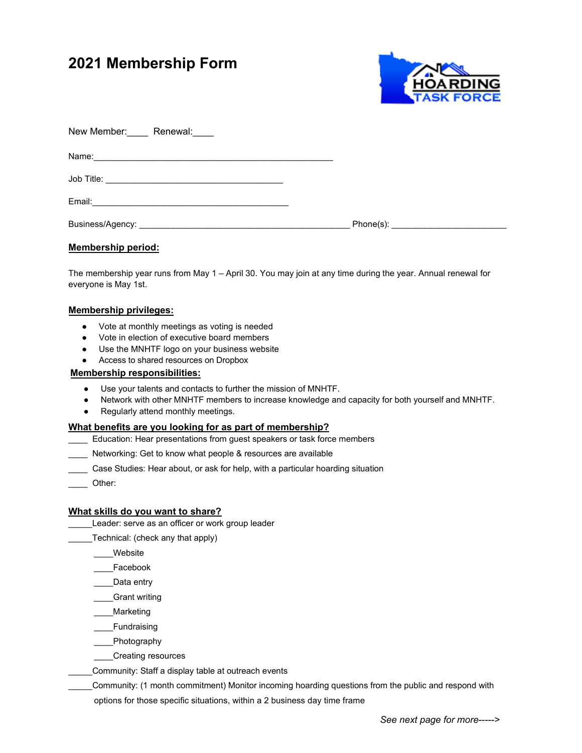# **2021 Membership Form**



| New Member: Renewal: |  |
|----------------------|--|
|                      |  |
|                      |  |
|                      |  |
|                      |  |

# **Membership period:**

The membership year runs from May 1 – April 30. You may join at any time during the year. Annual renewal for everyone is May 1st.

#### **Membership privileges:**

- Vote at monthly meetings as voting is needed
- Vote in election of executive board members
- Use the MNHTF logo on your business website
- Access to shared resources on Dropbox

#### **Membership responsibilities:**

- Use your talents and contacts to further the mission of MNHTF.
- Network with other MNHTF members to increase knowledge and capacity for both yourself and MNHTF.
- Regularly attend monthly meetings.

# **What benefits are you looking for as part of membership?**

- Education: Hear presentations from guest speakers or task force members
- Networking: Get to know what people & resources are available
- Case Studies: Hear about, or ask for help, with a particular hoarding situation
- \_\_\_\_ Other:

#### **What skills do you want to share?**

\_\_\_\_\_Leader: serve as an officer or work group leader

\_\_\_\_\_Technical: (check any that apply)

- \_\_\_\_Website
- \_\_\_\_Facebook
- Data entry
- Grant writing
- \_\_\_\_Marketing
- \_\_\_\_Fundraising
- \_\_\_\_Photography
- \_\_\_\_Creating resources
- Community: Staff a display table at outreach events
- \_\_\_\_\_Community: (1 month commitment) Monitor incoming hoarding questions from the public and respond with options for those specific situations, within a 2 business day time frame